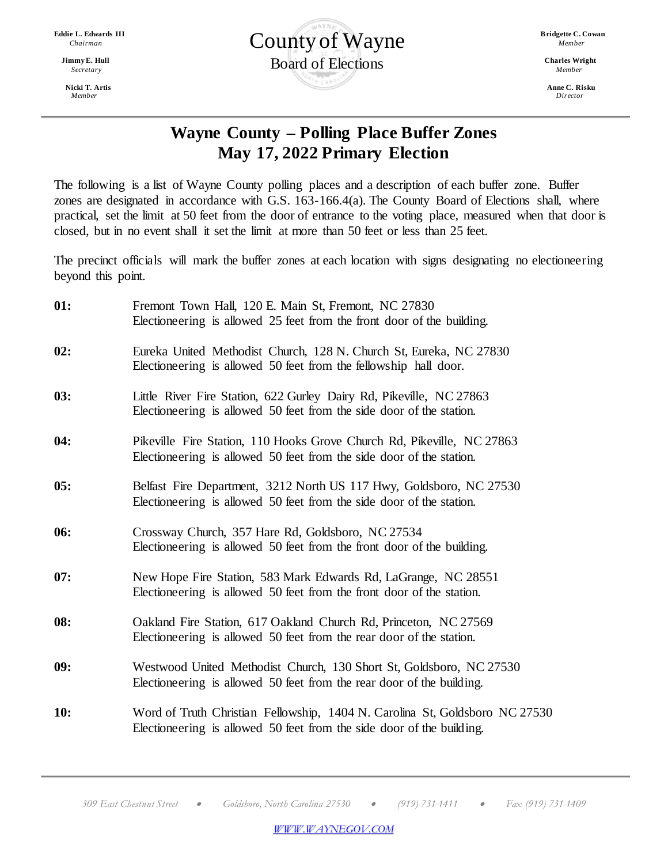*Member**Director*



## **Wayne County – Polling Place Buffer Zones May 17, 2022 Primary Election**

The following is a list of Wayne County polling places and a description of each buffer zone. Buffer zones are designated in accordance with G.S. 163-166.4(a). The County Board of Elections shall, where practical, set the limit at 50 feet from the door of entrance to the voting place, measured when that door is closed, but in no event shall it set the limit at more than 50 feet or less than 25 feet.

The precinct officials will mark the buffer zones at each location with signs designating no electioneering beyond this point.

| 01: | Fremont Town Hall, 120 E. Main St, Fremont, NC 27830<br>Electioneering is allowed 25 feet from the front door of the building.                       |
|-----|------------------------------------------------------------------------------------------------------------------------------------------------------|
| 02: | Eureka United Methodist Church, 128 N. Church St, Eureka, NC 27830<br>Electioneering is allowed 50 feet from the fellowship hall door.               |
| 03: | Little River Fire Station, 622 Gurley Dairy Rd, Pikeville, NC 27863<br>Electioneering is allowed 50 feet from the side door of the station.          |
| 04: | Pikeville Fire Station, 110 Hooks Grove Church Rd, Pikeville, NC 27863<br>Electioneering is allowed 50 feet from the side door of the station.       |
| 05: | Belfast Fire Department, 3212 North US 117 Hwy, Goldsboro, NC 27530<br>Electioneering is allowed 50 feet from the side door of the station.          |
| 06: | Crossway Church, 357 Hare Rd, Goldsboro, NC 27534<br>Electioneering is allowed 50 feet from the front door of the building.                          |
| 07: | New Hope Fire Station, 583 Mark Edwards Rd, LaGrange, NC 28551<br>Electioneering is allowed 50 feet from the front door of the station.              |
| 08: | Oakland Fire Station, 617 Oakland Church Rd, Princeton, NC 27569<br>Electioneering is allowed 50 feet from the rear door of the station.             |
| 09: | Westwood United Methodist Church, 130 Short St, Goldsboro, NC 27530<br>Electioneering is allowed 50 feet from the rear door of the building.         |
| 10: | Word of Truth Christian Fellowship, 1404 N. Carolina St, Goldsboro NC 27530<br>Electioneering is allowed 50 feet from the side door of the building. |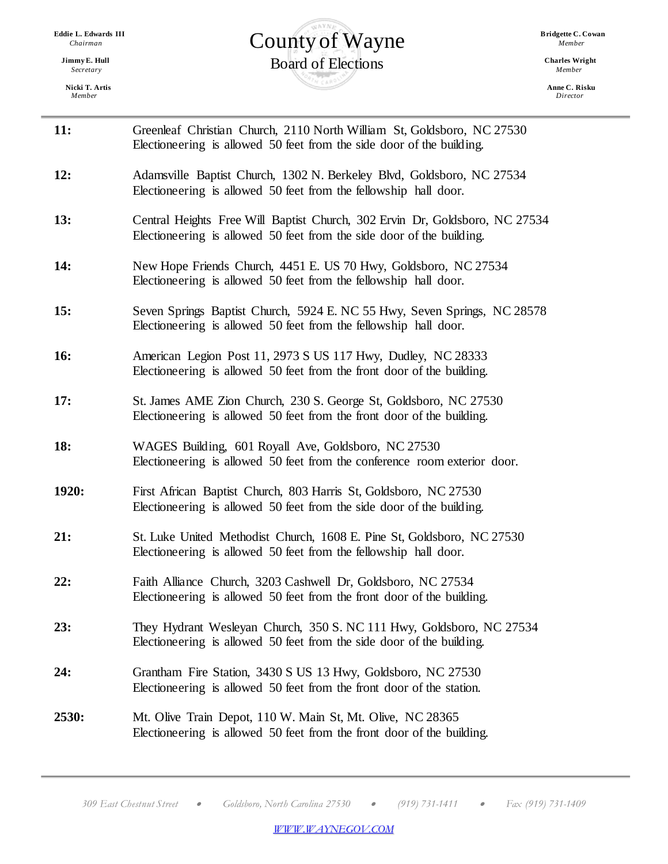**Nicki T. Artis Anne C. Risku** *Member**Director*

 $\equiv$ 

## **Eddie L. Edwards III Bridgette C. Cowan**  $\sum_{\text{Chairman}}$  *Bridgette C.County of Wayne Bridgette C.County of Wayne* **Charles Wright** Charles Wright Charles Wright Charles Wright Charles Wright Charles Wright *Secretary* Charles Windows 2. Hull **bracklers** *Member Members Members Members*

| 11:        | Greenleaf Christian Church, 2110 North William St, Goldsboro, NC 27530<br>Electioneering is allowed 50 feet from the side door of the building.      |
|------------|------------------------------------------------------------------------------------------------------------------------------------------------------|
| 12:        | Adamsville Baptist Church, 1302 N. Berkeley Blvd, Goldsboro, NC 27534<br>Electioneering is allowed 50 feet from the fellowship hall door.            |
| 13:        | Central Heights Free Will Baptist Church, 302 Ervin Dr, Goldsboro, NC 27534<br>Electioneering is allowed 50 feet from the side door of the building. |
| 14:        | New Hope Friends Church, 4451 E. US 70 Hwy, Goldsboro, NC 27534<br>Electioneering is allowed 50 feet from the fellowship hall door.                  |
| 15:        | Seven Springs Baptist Church, 5924 E. NC 55 Hwy, Seven Springs, NC 28578<br>Electioneering is allowed 50 feet from the fellowship hall door.         |
| <b>16:</b> | American Legion Post 11, 2973 S US 117 Hwy, Dudley, NC 28333<br>Electioneering is allowed 50 feet from the front door of the building.               |
| 17:        | St. James AME Zion Church, 230 S. George St, Goldsboro, NC 27530<br>Electioneering is allowed 50 feet from the front door of the building.           |
| 18:        | WAGES Building, 601 Royall Ave, Goldsboro, NC 27530<br>Electioneering is allowed 50 feet from the conference room exterior door.                     |
| 1920:      | First African Baptist Church, 803 Harris St, Goldsboro, NC 27530<br>Electioneering is allowed 50 feet from the side door of the building.            |
| 21:        | St. Luke United Methodist Church, 1608 E. Pine St, Goldsboro, NC 27530<br>Electioneering is allowed 50 feet from the fellowship hall door.           |
| 22:        | Faith Alliance Church, 3203 Cashwell Dr, Goldsboro, NC 27534<br>Electioneering is allowed 50 feet from the front door of the building.               |
| 23:        | They Hydrant Wesleyan Church, 350 S. NC 111 Hwy, Goldsboro, NC 27534<br>Electioneering is allowed 50 feet from the side door of the building.        |
| 24:        | Grantham Fire Station, 3430 S US 13 Hwy, Goldsboro, NC 27530<br>Electioneering is allowed 50 feet from the front door of the station.                |
| 2530:      | Mt. Olive Train Depot, 110 W. Main St, Mt. Olive, NC 28365<br>Electioneering is allowed 50 feet from the front door of the building.                 |